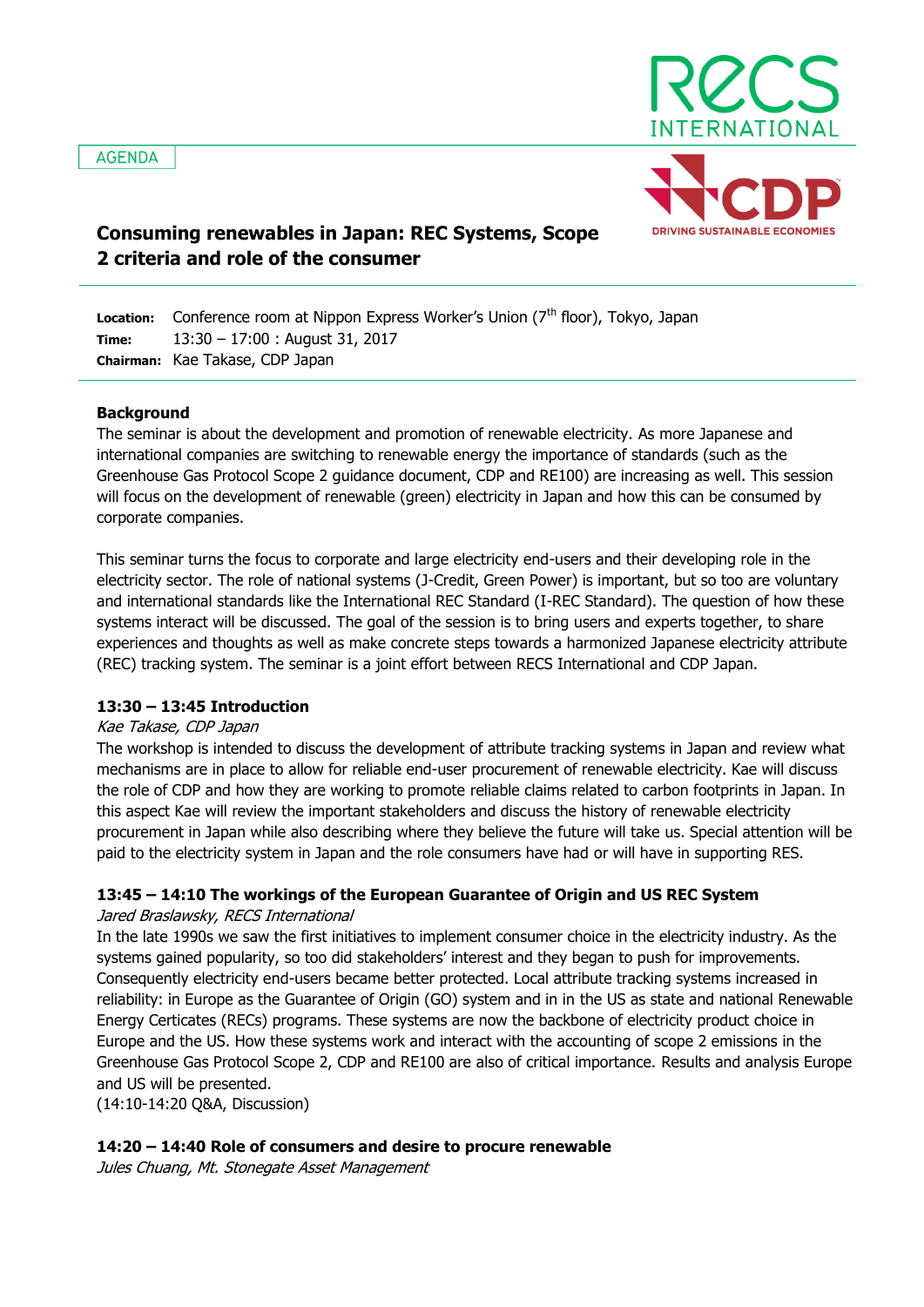

# **Consuming renewables in Japan: REC Systems, Scope 2 criteria and role of the consumer**

**Location: Time: Chairman:** Kae Takase, CDP Japan Conference room at Nippon Express Worker's Union (7<sup>th</sup> floor), Tokyo, Japan 13:30 – 17:00 : August 31, 2017

### **Background**

The seminar is about the development and promotion of renewable electricity. As more Japanese and international companies are switching to renewable energy the importance of standards (such as the Greenhouse Gas Protocol Scope 2 guidance document, CDP and RE100) are increasing as well. This session will focus on the development of renewable (green) electricity in Japan and how this can be consumed by corporate companies.

This seminar turns the focus to corporate and large electricity end-users and their developing role in the electricity sector. The role of national systems (J-Credit, Green Power) is important, but so too are voluntary and international standards like the International REC Standard (I-REC Standard). The question of how these systems interact will be discussed. The goal of the session is to bring users and experts together, to share experiences and thoughts as well as make concrete steps towards a harmonized Japanese electricity attribute (REC) tracking system. The seminar is a joint effort between RECS International and CDP Japan.

## **13:30 – 13:45 Introduction**

### Kae Takase, CDP Japan

The workshop is intended to discuss the development of attribute tracking systems in Japan and review what mechanisms are in place to allow for reliable end-user procurement of renewable electricity. Kae will discuss the role of CDP and how they are working to promote reliable claims related to carbon footprints in Japan. In this aspect Kae will review the important stakeholders and discuss the history of renewable electricity procurement in Japan while also describing where they believe the future will take us. Special attention will be paid to the electricity system in Japan and the role consumers have had or will have in supporting RES.

## **13:45 – 14:10 The workings of the European Guarantee of Origin and US REC System**

### Jared Braslawsky, RECS International

In the late 1990s we saw the first initiatives to implement consumer choice in the electricity industry. As the systems gained popularity, so too did stakeholders' interest and they began to push for improvements. Consequently electricity end-users became better protected. Local attribute tracking systems increased in reliability: in Europe as the Guarantee of Origin (GO) system and in in the US as state and national Renewable Energy Certicates (RECs) programs. These systems are now the backbone of electricity product choice in Europe and the US. How these systems work and interact with the accounting of scope 2 emissions in the Greenhouse Gas Protocol Scope 2, CDP and RE100 are also of critical importance. Results and analysis Europe and US will be presented.

(14:10-14:20 Q&A, Discussion)

### **14:20 – 14:40 Role of consumers and desire to procure renewable**

Jules Chuang, Mt. Stonegate Asset Management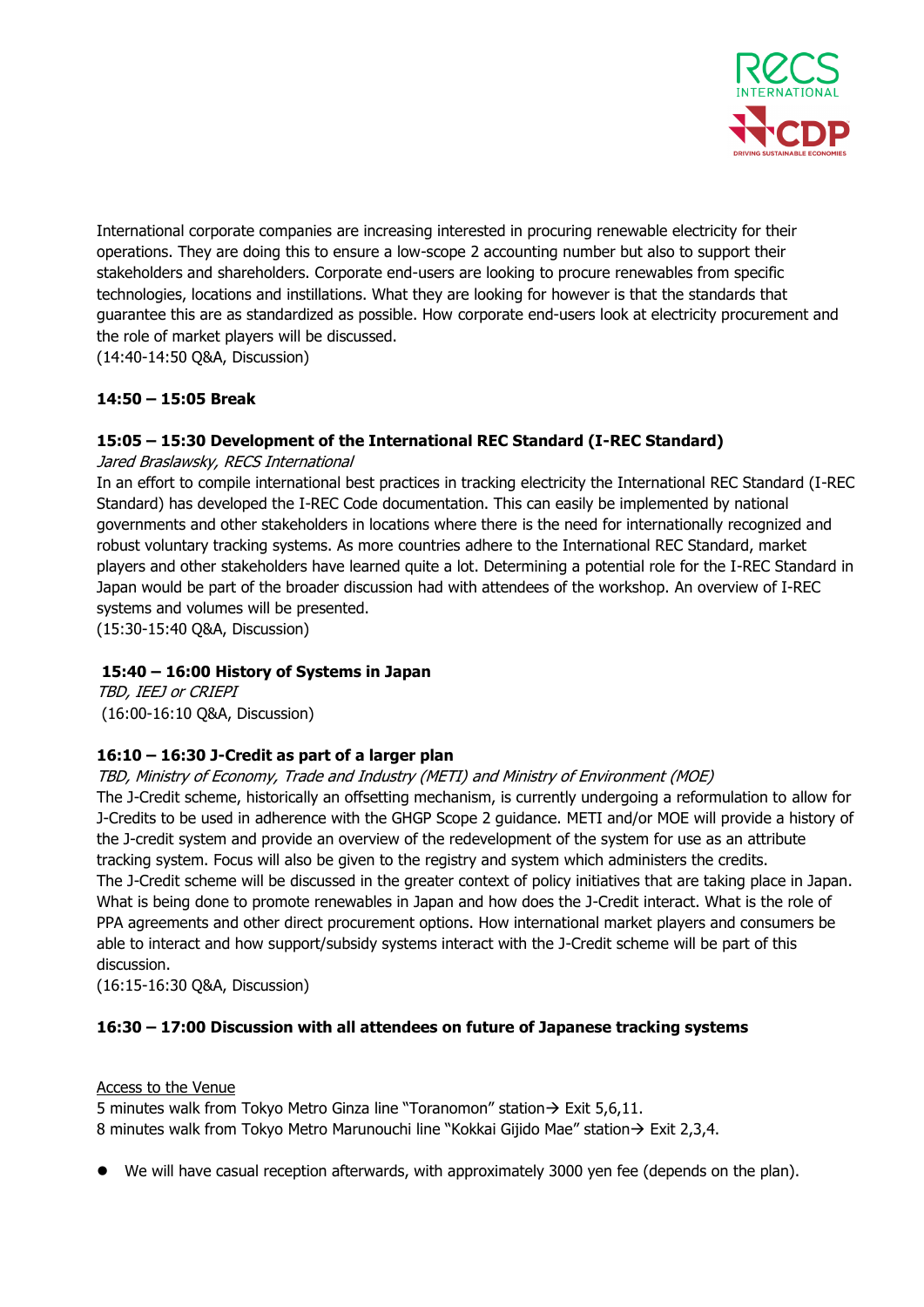

International corporate companies are increasing interested in procuring renewable electricity for their operations. They are doing this to ensure a low-scope 2 accounting number but also to support their stakeholders and shareholders. Corporate end-users are looking to procure renewables from specific technologies, locations and instillations. What they are looking for however is that the standards that guarantee this are as standardized as possible. How corporate end-users look at electricity procurement and the role of market players will be discussed.

(14:40-14:50 Q&A, Discussion)

## **14:50 – 15:05 Break**

## **15:05 – 15:30 Development of the International REC Standard (I-REC Standard)**

Jared Braslawsky, RECS International

In an effort to compile international best practices in tracking electricity the International REC Standard (I-REC Standard) has developed the I-REC Code documentation. This can easily be implemented by national governments and other stakeholders in locations where there is the need for internationally recognized and robust voluntary tracking systems. As more countries adhere to the International REC Standard, market players and other stakeholders have learned quite a lot. Determining a potential role for the I-REC Standard in Japan would be part of the broader discussion had with attendees of the workshop. An overview of I-REC systems and volumes will be presented.

(15:30-15:40 Q&A, Discussion)

## **15:40 – 16:00 History of Systems in Japan**

TBD, IEEJ or CRIEPI (16:00-16:10 Q&A, Discussion)

## **16:10 – 16:30 J-Credit as part of a larger plan**

### TBD, Ministry of Economy, Trade and Industry (METI) and Ministry of Environment (MOE)

The J-Credit scheme, historically an offsetting mechanism, is currently undergoing a reformulation to allow for J-Credits to be used in adherence with the GHGP Scope 2 guidance. METI and/or MOE will provide a history of the J-credit system and provide an overview of the redevelopment of the system for use as an attribute tracking system. Focus will also be given to the registry and system which administers the credits. The J-Credit scheme will be discussed in the greater context of policy initiatives that are taking place in Japan. What is being done to promote renewables in Japan and how does the J-Credit interact. What is the role of PPA agreements and other direct procurement options. How international market players and consumers be able to interact and how support/subsidy systems interact with the J-Credit scheme will be part of this discussion.

(16:15-16:30 Q&A, Discussion)

## **16:30 – 17:00 Discussion with all attendees on future of Japanese tracking systems**

### Access to the Venue

5 minutes walk from Tokyo Metro Ginza line "Toranomon" station  $\rightarrow$  Exit 5,6,11. 8 minutes walk from Tokyo Metro Marunouchi line "Kokkai Gijido Mae" station $\rightarrow$  Exit 2,3,4.

We will have casual reception afterwards, with approximately 3000 yen fee (depends on the plan).